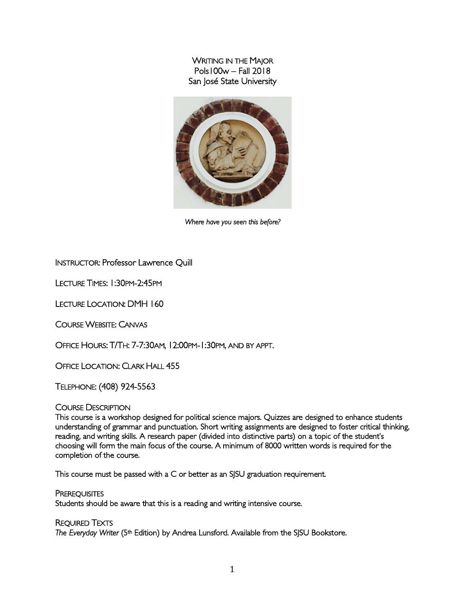WRITING IN THE MAJOR Pols100w – Fall 2018 San José State University



*Where have you seen this before?* 

# INSTRUCTOR: Professor Lawrence Quill

LECTURE TIMES: 1:30PM-2:45PM

LECTURE LOCATION: DMH 160

COURSE WEBSITE: CANVAS

OFFICE HOURS: T/TH: 7-7:30AM, 12:00PM-1:30PM, AND BY APPT.

OFFICE LOCATION: CLARK HALL 455

TELEPHONE: (408) 924-5563

#### COURSE DESCRIPTION

This course is a workshop designed for political science majors. Quizzes are designed to enhance students understanding of grammar and punctuation. Short writing assignments are designed to foster critical thinking, reading, and writing skills. A research paper (divided into distinctive parts) on a topic of the student's choosing will form the main focus of the course. A minimum of 8000 written words is required for the completion of the course.

This course must be passed with a C or better as an SJSU graduation requirement.

**PREREQUISITES** Students should be aware that this is a reading and writing intensive course.

REQUIRED TEXTS The Everyday Writer (5<sup>th</sup> Edition) by Andrea Lunsford. Available from the SJSU Bookstore.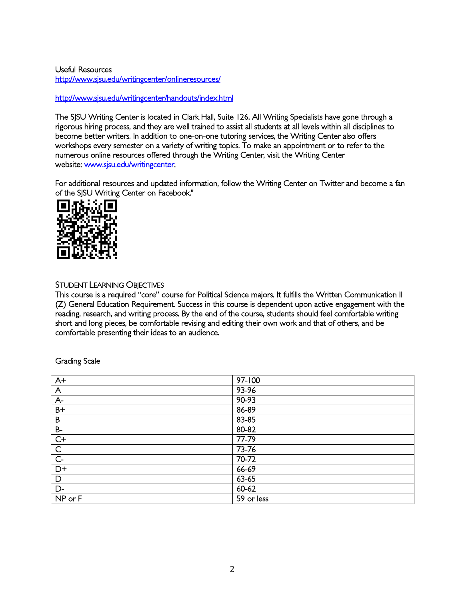Useful Resources http://www.sjsu.edu/writingcenter/onlineresources/

# http://www.sjsu.edu/writingcenter/handouts/index.html

The SJSU Writing Center is located in Clark Hall, Suite 126. All Writing Specialists have gone through a rigorous hiring process, and they are well trained to assist all students at all levels within all disciplines to become better writers. In addition to one-on-one tutoring services, the Writing Center also offers workshops every semester on a variety of writing topics. To make an appointment or to refer to the numerous online resources offered through the Writing Center, visit the Writing Center website: www.sjsu.edu/writingcenter.

For additional resources and updated information, follow the Writing Center on Twitter and become a fan of the SJSU Writing Center on Facebook."



# STUDENT LEARNING OBJECTIVES

This course is a required "core" course for Political Science majors. It fulfills the Written Communication II (Z) General Education Requirement. Success in this course is dependent upon active engagement with the reading, research, and writing process. By the end of the course, students should feel comfortable writing short and long pieces, be comfortable revising and editing their own work and that of others, and be comfortable presenting their ideas to an audience.

| $A+$           | 97-100     |
|----------------|------------|
| $\mathsf{A}$   | 93-96      |
| $A -$          | 90-93      |
| $B+$           | 86-89      |
| B              | 83-85      |
| $B-$           | 80-82      |
| $\overline{C}$ | 77-79      |
| $\overline{C}$ | 73-76      |
| $\overline{C}$ | 70-72      |
| $D+$           | 66-69      |
| D              | 63-65      |
| $D -$          | $60 - 62$  |
| NP or F        | 59 or less |

Grading Scale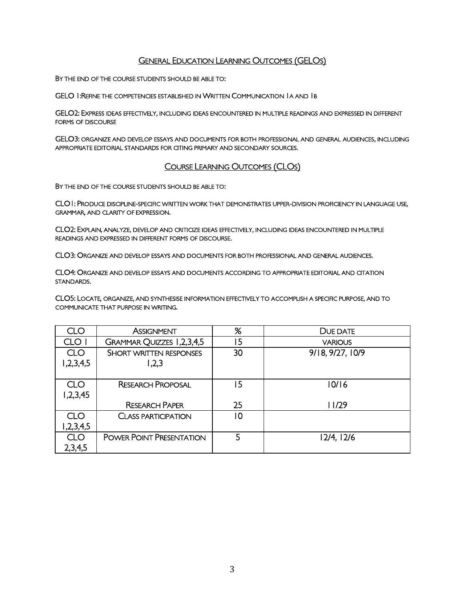# **GENERAL EDUCATION LEARNING OUTCOMES (GELOS)**

BY THE END OF THE COURSE STUDENTS SHOULD BE ABLE TO:

GELO 1:REFINE THE COMPETENCIES ESTABLISHED IN WRITTEN COMMUNICATION 1A AND 1B

GELO2: EXPRESS IDEAS EFFECTIVELY, INCLUDING IDEAS ENCOUNTERED IN MULTIPLE READINGS AND EXPRESSED IN DIFFERENT FORMS OF DISCOURSE

GELO3: ORGANIZE AND DEVELOP ESSAYS AND DOCUMENTS FOR BOTH PROFESSIONAL AND GENERAL AUDIENCES, INCLUDING APPROPRIATE EDITORIAL STANDARDS FOR CITING PRIMARY AND SECONDARY SOURCES.

# COURSE LEARNING OUTCOMES (CLOS)

BY THE END OF THE COURSE STUDENTS SHOULD BE ABLE TO:

CLO1: PRODUCE DISCIPLINE-SPECIFIC WRITTEN WORK THAT DEMONSTRATES UPPER-DIVISION PROFICIENCY IN LANGUAGE USE, GRAMMAR, AND CLARITY OF EXPRESSION.

CLO2: EXPLAIN, ANALYZE, DEVELOP AND CRITICIZE IDEAS EFFECTIVELY, INCLUDING IDEAS ENCOUNTERED IN MULTIPLE READINGS AND EXPRESSED IN DIFFERENT FORMS OF DISCOURSE.

CLO3: ORGANIZE AND DEVELOP ESSAYS AND DOCUMENTS FOR BOTH PROFESSIONAL AND GENERAL AUDIENCES.

CLO4: ORGANIZE AND DEVELOP ESSAYS AND DOCUMENTS ACCORDING TO APPROPRIATE EDITORIAL AND CITATION STANDARDS.

CLO5: LOCATE, ORGANIZE, AND SYNTHESISE INFORMATION EFFECTIVELY TO ACCOMPLISH A SPECIFIC PURPOSE, AND TO COMMUNICATE THAT PURPOSE IN WRITING.

| CLO                      | <b>ASSIGNMENT</b>                       | %  | DUE DATE         |
|--------------------------|-----------------------------------------|----|------------------|
| CLO I                    | GRAMMAR QUIZZES 1,2,3,4,5               | 15 | <b>VARIOUS</b>   |
| <b>CLO</b><br>1,2,3,4,5  | <b>SHORT WRITTEN RESPONSES</b><br>1,2,3 | 30 | 9/18, 9/27, 10/9 |
| <b>CLO</b><br>1,2,3,45   | <b>RESEARCH PROPOSAL</b>                | 15 | 10/16            |
|                          | <b>RESEARCH PAPER</b>                   | 25 | 11/29            |
| <b>CLO</b><br>2,3,4,5, ا | <b>CLASS PARTICIPATION</b>              | 10 |                  |
| <b>CLO</b>               | <b>POWER POINT PRESENTATION</b>         | 5  | 12/4, 12/6       |
| 2,3,4,5                  |                                         |    |                  |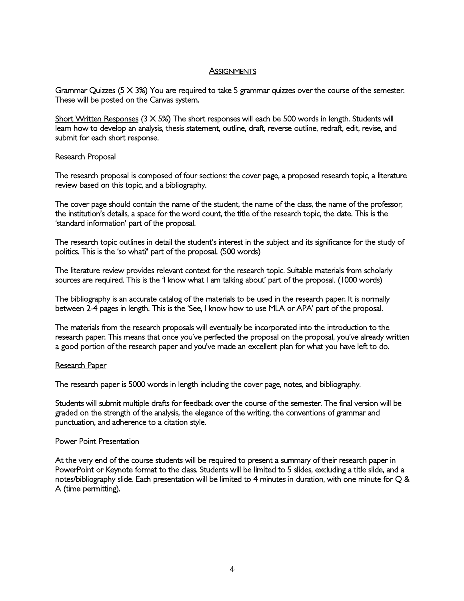#### **ASSIGNMENTS**

Grammar Quizzes (5 X 3%) You are required to take 5 grammar quizzes over the course of the semester. These will be posted on the Canvas system.

Short Written Responses  $(3 \times 5\%)$  The short responses will each be 500 words in length. Students will learn how to develop an analysis, thesis statement, outline, draft, reverse outline, redraft, edit, revise, and submit for each short response.

#### Research Proposal

The research proposal is composed of four sections: the cover page, a proposed research topic, a literature review based on this topic, and a bibliography.

The cover page should contain the name of the student, the name of the class, the name of the professor, the institution's details, a space for the word count, the title of the research topic, the date. This is the 'standard information' part of the proposal.

The research topic outlines in detail the student's interest in the subject and its significance for the study of politics. This is the 'so what?' part of the proposal. (500 words)

The literature review provides relevant context for the research topic. Suitable materials from scholarly sources are required. This is the 'I know what I am talking about' part of the proposal. (1000 words)

The bibliography is an accurate catalog of the materials to be used in the research paper. It is normally between 2-4 pages in length. This is the 'See, I know how to use MLA or APA' part of the proposal.

The materials from the research proposals will eventually be incorporated into the introduction to the research paper. This means that once you've perfected the proposal on the proposal, you've already written a good portion of the research paper and you've made an excellent plan for what you have left to do.

#### Research Paper

The research paper is 5000 words in length including the cover page, notes, and bibliography.

Students will submit multiple drafts for feedback over the course of the semester. The final version will be graded on the strength of the analysis, the elegance of the writing, the conventions of grammar and punctuation, and adherence to a citation style.

#### Power Point Presentation

At the very end of the course students will be required to present a summary of their research paper in PowerPoint or Keynote format to the class. Students will be limited to 5 slides, excluding a title slide, and a notes/bibliography slide. Each presentation will be limited to 4 minutes in duration, with one minute for Q & A (time permitting).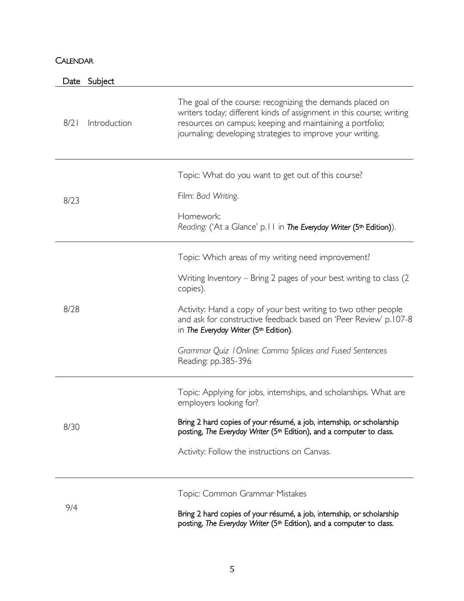# **CALENDAR**

|      | Date | Subject                                                                                                                                                                     |                                                                                                                                                                                                                                                              |
|------|------|-----------------------------------------------------------------------------------------------------------------------------------------------------------------------------|--------------------------------------------------------------------------------------------------------------------------------------------------------------------------------------------------------------------------------------------------------------|
|      | 8/2  | Introduction                                                                                                                                                                | The goal of the course: recognizing the demands placed on<br>writers today; different kinds of assignment in this course; writing<br>resources on campus; keeping and maintaining a portfolio;<br>journaling; developing strategies to improve your writing. |
|      |      |                                                                                                                                                                             | Topic: What do you want to get out of this course?                                                                                                                                                                                                           |
|      | 8/23 |                                                                                                                                                                             | Film: Bad Writing.                                                                                                                                                                                                                                           |
|      |      | Homework:<br>Reading: ('At a Glance' p.11 in The Everyday Writer (5th Edition)).                                                                                            |                                                                                                                                                                                                                                                              |
| 8/28 |      | Topic: Which areas of my writing need improvement?                                                                                                                          |                                                                                                                                                                                                                                                              |
|      |      | Writing Inventory – Bring 2 pages of your best writing to class (2)<br>copies).                                                                                             |                                                                                                                                                                                                                                                              |
|      |      | Activity: Hand a copy of your best writing to two other people<br>and ask for constructive feedback based on 'Peer Review' p.107-8<br>in The Everyday Writer (5th Edition). |                                                                                                                                                                                                                                                              |
|      |      | Grammar Quiz 1 Online: Comma Splices and Fused Sentences<br>Reading: pp.385-396                                                                                             |                                                                                                                                                                                                                                                              |
|      |      |                                                                                                                                                                             | Topic: Applying for jobs, internships, and scholarships. What are<br>employers looking for?                                                                                                                                                                  |
| 8/30 |      | Bring 2 hard copies of your résumé, a job, internship, or scholarship<br>posting, The Everyday Writer (5 <sup>th</sup> Edition), and a computer to class.                   |                                                                                                                                                                                                                                                              |
|      |      | Activity: Follow the instructions on Canvas.                                                                                                                                |                                                                                                                                                                                                                                                              |
|      | 9/4  |                                                                                                                                                                             | Topic: Common Grammar Mistakes                                                                                                                                                                                                                               |
|      |      |                                                                                                                                                                             | Bring 2 hard copies of your résumé, a job, internship, or scholarship                                                                                                                                                                                        |

posting, *The Everyday Writer* (5<sup>th</sup> Edition), and a computer to class.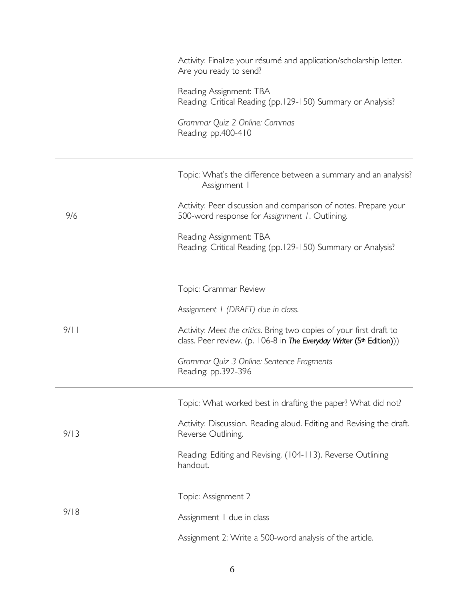|  |      | Activity: Finalize your résumé and application/scholarship letter.<br>Are you ready to send?                                                            |
|--|------|---------------------------------------------------------------------------------------------------------------------------------------------------------|
|  |      | Reading Assignment: TBA<br>Reading: Critical Reading (pp.129-150) Summary or Analysis?                                                                  |
|  |      | Grammar Quiz 2 Online: Commas<br>Reading: pp.400-410                                                                                                    |
|  |      | Topic: What's the difference between a summary and an analysis?<br>Assignment I                                                                         |
|  | 9/6  | Activity: Peer discussion and comparison of notes. Prepare your<br>500-word response for Assignment 1. Outlining.                                       |
|  |      | Reading Assignment: TBA<br>Reading: Critical Reading (pp.129-150) Summary or Analysis?                                                                  |
|  |      | Topic: Grammar Review                                                                                                                                   |
|  |      | Assignment I (DRAFT) due in class.                                                                                                                      |
|  | 9/11 | Activity: Meet the critics. Bring two copies of your first draft to<br>class. Peer review. (p. 106-8 in The Everyday Writer (5 <sup>th</sup> Edition))) |
|  |      | Grammar Quiz 3 Online: Sentence Fragments<br>Reading: pp.392-396                                                                                        |
|  |      | Topic: What worked best in drafting the paper? What did not?                                                                                            |
|  | 9/13 | Activity: Discussion. Reading aloud. Editing and Revising the draft.<br>Reverse Outlining.                                                              |
|  |      | Reading: Editing and Revising. (104-113). Reverse Outlining<br>handout.                                                                                 |
|  | 9/18 | Topic: Assignment 2                                                                                                                                     |
|  |      | Assignment   due in class                                                                                                                               |
|  |      | Assignment 2: Write a 500-word analysis of the article.                                                                                                 |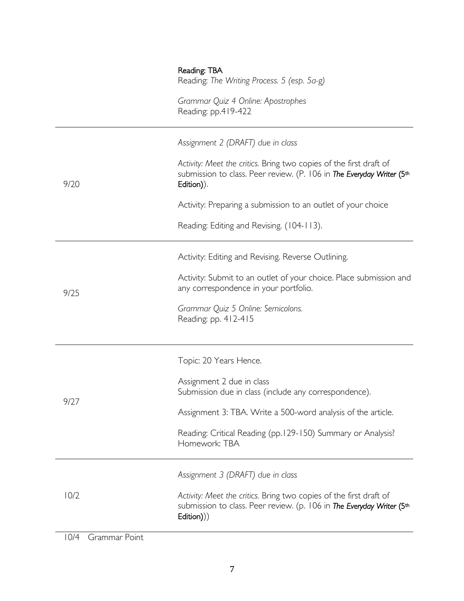|      | Reading: TBA<br>Reading: The Writing Process. 5 (esp. 5a-g)<br>Grammar Quiz 4 Online: Apostrophes<br>Reading: pp.419-422                                                                                                                                                                                    |
|------|-------------------------------------------------------------------------------------------------------------------------------------------------------------------------------------------------------------------------------------------------------------------------------------------------------------|
| 9/20 | Assignment 2 (DRAFT) due in class<br>Activity: Meet the critics. Bring two copies of the first draft of<br>submission to class. Peer review. (P. 106 in The Everyday Writer (5th<br>Edition)).<br>Activity: Preparing a submission to an outlet of your choice<br>Reading: Editing and Revising. (104-113). |
| 9/25 | Activity: Editing and Revising. Reverse Outlining.<br>Activity: Submit to an outlet of your choice. Place submission and<br>any correspondence in your portfolio.<br>Grammar Quiz 5 Online: Semicolons.<br>Reading: pp. 412-415                                                                             |
| 9/27 | Topic: 20 Years Hence.<br>Assignment 2 due in class<br>Submission due in class (include any correspondence).<br>Assignment 3: TBA. Write a 500-word analysis of the article.<br>Reading: Critical Reading (pp.129-150) Summary or Analysis?<br>Homework: TBA                                                |
| 10/2 | Assignment 3 (DRAFT) due in class<br>Activity: Meet the critics. Bring two copies of the first draft of<br>submission to class. Peer review. (p. 106 in The Everyday Writer (5th<br>Edition)))                                                                                                              |

10/4 Grammar Point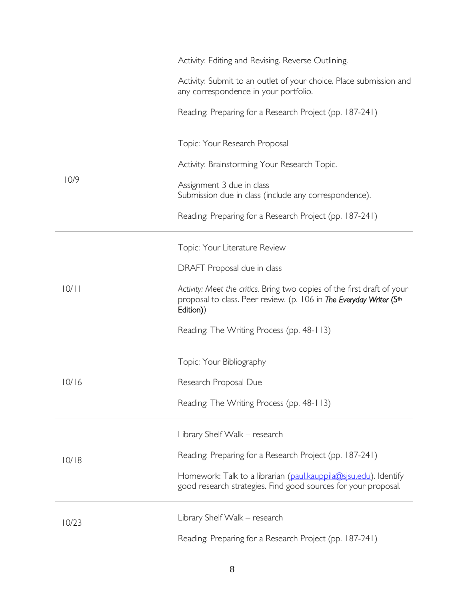|       | Activity: Editing and Revising. Reverse Outlining.                                                                                                          |
|-------|-------------------------------------------------------------------------------------------------------------------------------------------------------------|
|       | Activity: Submit to an outlet of your choice. Place submission and<br>any correspondence in your portfolio.                                                 |
|       | Reading: Preparing for a Research Project (pp. 187-241)                                                                                                     |
|       | Topic: Your Research Proposal                                                                                                                               |
|       | Activity: Brainstorming Your Research Topic.                                                                                                                |
| 10/9  | Assignment 3 due in class<br>Submission due in class (include any correspondence).                                                                          |
|       | Reading: Preparing for a Research Project (pp. 187-241)                                                                                                     |
|       | Topic: Your Literature Review                                                                                                                               |
|       | DRAFT Proposal due in class                                                                                                                                 |
| 10/11 | Activity: Meet the critics. Bring two copies of the first draft of your<br>proposal to class. Peer review. (p. 106 in The Everyday Writer (5th<br>Edition)) |
|       | Reading: The Writing Process (pp. 48-113)                                                                                                                   |
|       | Topic: Your Bibliography                                                                                                                                    |
| 10/16 | Research Proposal Due                                                                                                                                       |
|       | Reading: The Writing Process (pp. 48-113)                                                                                                                   |
|       | Library Shelf Walk - research                                                                                                                               |
| 10/18 | Reading: Preparing for a Research Project (pp. 187-241)                                                                                                     |
|       | Homework: Talk to a librarian (paul.kauppila@sjsu.edu). Identify<br>good research strategies. Find good sources for your proposal.                          |
| 10/23 | Library Shelf Walk - research                                                                                                                               |
|       | Reading: Preparing for a Research Project (pp. 187-241)                                                                                                     |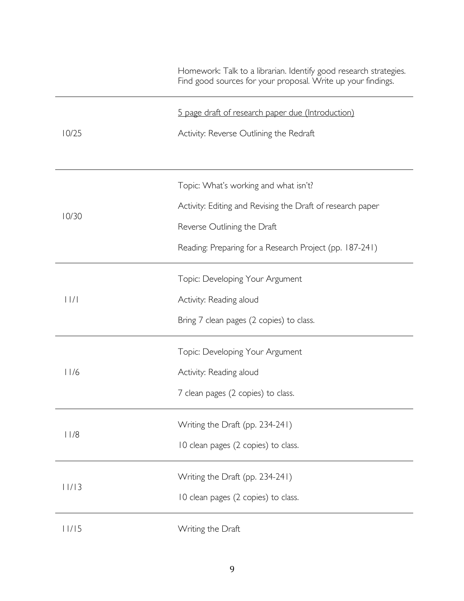|             | Homework: Talk to a librarian. Identify good research strategies.<br>Find good sources for your proposal. Write up your findings. |
|-------------|-----------------------------------------------------------------------------------------------------------------------------------|
|             | 5 page draft of research paper due (Introduction)                                                                                 |
| 10/25       | Activity: Reverse Outlining the Redraft                                                                                           |
|             | Topic: What's working and what isn't?                                                                                             |
|             | Activity: Editing and Revising the Draft of research paper                                                                        |
| 10/30       | Reverse Outlining the Draft                                                                                                       |
|             | Reading: Preparing for a Research Project (pp. 187-241)                                                                           |
|             | Topic: Developing Your Argument                                                                                                   |
| $ $ $ $ $ $ | Activity: Reading aloud                                                                                                           |
|             | Bring 7 clean pages (2 copies) to class.                                                                                          |
|             | Topic: Developing Your Argument                                                                                                   |
| 11/6        | Activity: Reading aloud                                                                                                           |
|             | 7 clean pages (2 copies) to class.                                                                                                |
| 11/8        | Writing the Draft (pp. 234-241)                                                                                                   |
|             | 10 clean pages (2 copies) to class.                                                                                               |
| 11/13       | Writing the Draft (pp. 234-241)                                                                                                   |
|             | 10 clean pages (2 copies) to class.                                                                                               |
| 11/15       | Writing the Draft                                                                                                                 |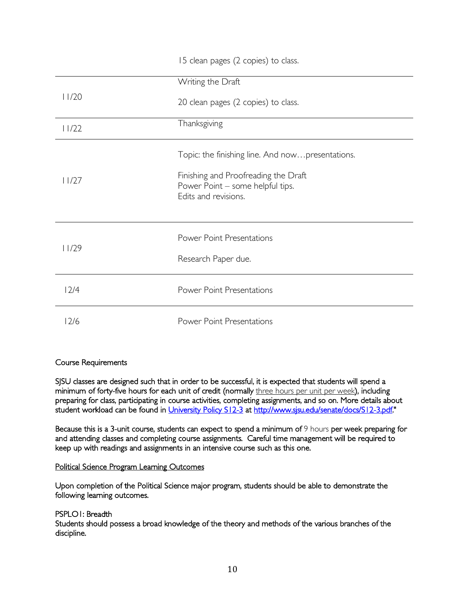|       | 15 clean pages (2 copies) to class.                                                                                                                  |
|-------|------------------------------------------------------------------------------------------------------------------------------------------------------|
|       | Writing the Draft                                                                                                                                    |
| 11/20 | 20 clean pages (2 copies) to class.                                                                                                                  |
| 11/22 | Thanksgiving                                                                                                                                         |
| 11/27 | Topic: the finishing line. And nowpresentations.<br>Finishing and Proofreading the Draft<br>Power Point - some helpful tips.<br>Edits and revisions. |
| 11/29 | <b>Power Point Presentations</b><br>Research Paper due.                                                                                              |
| 12/4  | <b>Power Point Presentations</b>                                                                                                                     |
| 12/6  | <b>Power Point Presentations</b>                                                                                                                     |

# Course Requirements

SJSU classes are designed such that in order to be successful, it is expected that students will spend a minimum of forty-five hours for each unit of credit (normally three hours per unit per week), including preparing for class, participating in course activities, completing assignments, and so on. More details about student workload can be found in University Policy S12-3 at http://www.sjsu.edu/senate/docs/S12-3.pdf."

Because this is a 3-unit course, students can expect to spend a minimum of 9 hours per week preparing for and attending classes and completing course assignments. Careful time management will be required to keep up with readings and assignments in an intensive course such as this one.

#### Political Science Program Learning Outcomes

Upon completion of the Political Science major program, students should be able to demonstrate the following learning outcomes.

#### PSPLO1: Breadth

Students should possess a broad knowledge of the theory and methods of the various branches of the discipline.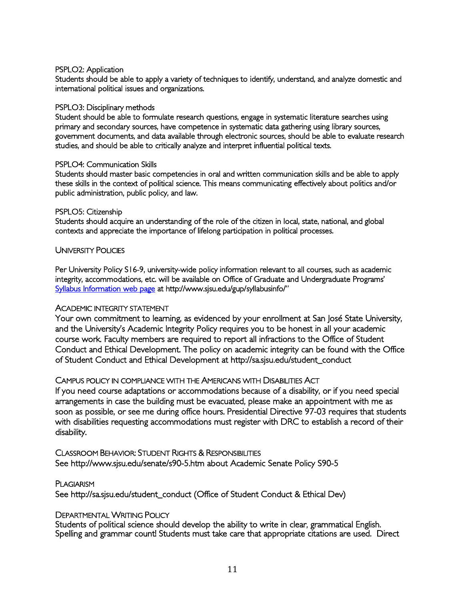### PSPLO2: Application

Students should be able to apply a variety of techniques to identify, understand, and analyze domestic and international political issues and organizations.

#### PSPLO3: Disciplinary methods

Student should be able to formulate research questions, engage in systematic literature searches using primary and secondary sources, have competence in systematic data gathering using library sources, government documents, and data available through electronic sources, should be able to evaluate research studies, and should be able to critically analyze and interpret influential political texts.

#### PSPLO4: Communication Skills

Students should master basic competencies in oral and written communication skills and be able to apply these skills in the context of political science. This means communicating effectively about politics and/or public administration, public policy, and law.

#### PSPLO5: Citizenship

Students should acquire an understanding of the role of the citizen in local, state, national, and global contexts and appreciate the importance of lifelong participation in political processes.

### UNIVERSITY POLICIES

Per University Policy S16-9, university-wide policy information relevant to all courses, such as academic integrity, accommodations, etc. will be available on Office of Graduate and Undergraduate Programs' Syllabus Information web page at http://www.sjsu.edu/gup/syllabusinfo/"

#### ACADEMIC INTEGRITY STATEMENT

Your own commitment to learning, as evidenced by your enrollment at San José State University, and the University's Academic Integrity Policy requires you to be honest in all your academic course work. Faculty members are required to report all infractions to the Office of Student Conduct and Ethical Development. The policy on academic integrity can be found with the Office of Student Conduct and Ethical Development at http://sa.sjsu.edu/student\_conduct

# CAMPUS POLICY IN COMPLIANCE WITH THE AMERICANS WITH DISABILITIES ACT

If you need course adaptations or accommodations because of a disability, or if you need special arrangements in case the building must be evacuated, please make an appointment with me as soon as possible, or see me during office hours. Presidential Directive 97-03 requires that students with disabilities requesting accommodations must register with DRC to establish a record of their disability.

CLASSROOM BEHAVIOR: STUDENT RIGHTS & RESPONSIBILITIES See http://www.sjsu.edu/senate/s90-5.htm about Academic Senate Policy S90-5

PLAGIARISM See http://sa.sjsu.edu/student\_conduct (Office of Student Conduct & Ethical Dev)

#### DEPARTMENTAL WRITING POLICY

Students of political science should develop the ability to write in clear, grammatical English. Spelling and grammar count! Students must take care that appropriate citations are used. Direct